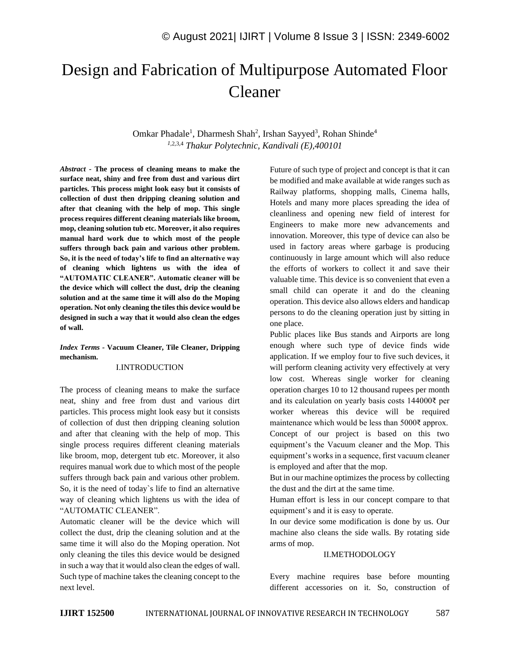# Design and Fabrication of Multipurpose Automated Floor Cleaner

Omkar Phadale<sup>1</sup>, Dharmesh Shah<sup>2</sup>, Irshan Sayyed<sup>3</sup>, Rohan Shinde<sup>4</sup> *<sup>1</sup>*,2,3,4 *Thakur Polytechnic, Kandivali (E),400101*

*Abstract -* **The process of cleaning means to make the surface neat, shiny and free from dust and various dirt particles. This process might look easy but it consists of collection of dust then dripping cleaning solution and after that cleaning with the help of mop. This single process requires different cleaning materials like broom, mop, cleaning solution tub etc. Moreover, it also requires manual hard work due to which most of the people suffers through back pain and various other problem. So, it is the need of today's life to find an alternative way of cleaning which lightens us with the idea of "AUTOMATIC CLEANER". Automatic cleaner will be the device which will collect the dust, drip the cleaning solution and at the same time it will also do the Moping operation. Not only cleaning the tiles this device would be designed in such a way that it would also clean the edges of wall.**

*Index Terms -* **Vacuum Cleaner, Tile Cleaner, Dripping mechanism.**

# I.INTRODUCTION

The process of cleaning means to make the surface neat, shiny and free from dust and various dirt particles. This process might look easy but it consists of collection of dust then dripping cleaning solution and after that cleaning with the help of mop. This single process requires different cleaning materials like broom, mop, detergent tub etc. Moreover, it also requires manual work due to which most of the people suffers through back pain and various other problem. So, it is the need of today`s life to find an alternative way of cleaning which lightens us with the idea of "AUTOMATIC CLEANER".

Automatic cleaner will be the device which will collect the dust, drip the cleaning solution and at the same time it will also do the Moping operation. Not only cleaning the tiles this device would be designed in such a way that it would also clean the edges of wall. Such type of machine takes the cleaning concept to the next level.

Future of such type of project and concept is that it can be modified and make available at wide ranges such as Railway platforms, shopping malls, Cinema halls, Hotels and many more places spreading the idea of cleanliness and opening new field of interest for Engineers to make more new advancements and innovation. Moreover, this type of device can also be used in factory areas where garbage is producing continuously in large amount which will also reduce the efforts of workers to collect it and save their valuable time. This device is so convenient that even a small child can operate it and do the cleaning operation. This device also allows elders and handicap persons to do the cleaning operation just by sitting in one place.

Public places like Bus stands and Airports are long enough where such type of device finds wide application. If we employ four to five such devices, it will perform cleaning activity very effectively at very low cost. Whereas single worker for cleaning operation charges 10 to 12 thousand rupees per month and its calculation on yearly basis costs 144000₹ per worker whereas this device will be required maintenance which would be less than 5000₹ approx. Concept of our project is based on this two equipment's the Vacuum cleaner and the Mop. This equipment's works in a sequence, first vacuum cleaner is employed and after that the mop.

But in our machine optimizes the process by collecting the dust and the dirt at the same time.

Human effort is less in our concept compare to that equipment's and it is easy to operate.

In our device some modification is done by us. Our machine also cleans the side walls. By rotating side arms of mop.

# II.METHODOLOGY

Every machine requires base before mounting different accessories on it. So, construction of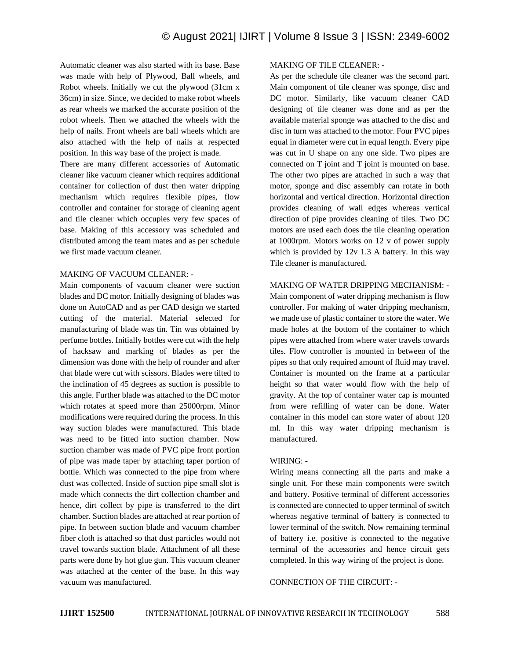Automatic cleaner was also started with its base. Base was made with help of Plywood, Ball wheels, and Robot wheels. Initially we cut the plywood (31cm x 36cm) in size. Since, we decided to make robot wheels as rear wheels we marked the accurate position of the robot wheels. Then we attached the wheels with the help of nails. Front wheels are ball wheels which are also attached with the help of nails at respected position. In this way base of the project is made.

There are many different accessories of Automatic cleaner like vacuum cleaner which requires additional container for collection of dust then water dripping mechanism which requires flexible pipes, flow controller and container for storage of cleaning agent and tile cleaner which occupies very few spaces of base. Making of this accessory was scheduled and distributed among the team mates and as per schedule we first made vacuum cleaner.

# MAKING OF VACUUM CLEANER: -

Main components of vacuum cleaner were suction blades and DC motor. Initially designing of blades was done on AutoCAD and as per CAD design we started cutting of the material. Material selected for manufacturing of blade was tin. Tin was obtained by perfume bottles. Initially bottles were cut with the help of hacksaw and marking of blades as per the dimension was done with the help of rounder and after that blade were cut with scissors. Blades were tilted to the inclination of 45 degrees as suction is possible to this angle. Further blade was attached to the DC motor which rotates at speed more than 25000rpm. Minor modifications were required during the process. In this way suction blades were manufactured. This blade was need to be fitted into suction chamber. Now suction chamber was made of PVC pipe front portion of pipe was made taper by attaching taper portion of bottle. Which was connected to the pipe from where dust was collected. Inside of suction pipe small slot is made which connects the dirt collection chamber and hence, dirt collect by pipe is transferred to the dirt chamber. Suction blades are attached at rear portion of pipe. In between suction blade and vacuum chamber fiber cloth is attached so that dust particles would not travel towards suction blade. Attachment of all these parts were done by hot glue gun. This vacuum cleaner was attached at the center of the base. In this way vacuum was manufactured.

# MAKING OF TILE CLEANER: -

As per the schedule tile cleaner was the second part. Main component of tile cleaner was sponge, disc and DC motor. Similarly, like vacuum cleaner CAD designing of tile cleaner was done and as per the available material sponge was attached to the disc and disc in turn was attached to the motor. Four PVC pipes equal in diameter were cut in equal length. Every pipe was cut in U shape on any one side. Two pipes are connected on T joint and T joint is mounted on base. The other two pipes are attached in such a way that motor, sponge and disc assembly can rotate in both horizontal and vertical direction. Horizontal direction provides cleaning of wall edges whereas vertical direction of pipe provides cleaning of tiles. Two DC motors are used each does the tile cleaning operation at 1000rpm. Motors works on 12 v of power supply which is provided by 12v 1.3 A battery. In this way Tile cleaner is manufactured.

# MAKING OF WATER DRIPPING MECHANISM: -

Main component of water dripping mechanism is flow controller. For making of water dripping mechanism, we made use of plastic container to store the water. We made holes at the bottom of the container to which pipes were attached from where water travels towards tiles. Flow controller is mounted in between of the pipes so that only required amount of fluid may travel. Container is mounted on the frame at a particular height so that water would flow with the help of gravity. At the top of container water cap is mounted from were refilling of water can be done. Water container in this model can store water of about 120 ml. In this way water dripping mechanism is manufactured.

#### WIRING: -

Wiring means connecting all the parts and make a single unit. For these main components were switch and battery. Positive terminal of different accessories is connected are connected to upper terminal of switch whereas negative terminal of battery is connected to lower terminal of the switch. Now remaining terminal of battery i.e. positive is connected to the negative terminal of the accessories and hence circuit gets completed. In this way wiring of the project is done.

CONNECTION OF THE CIRCUIT: -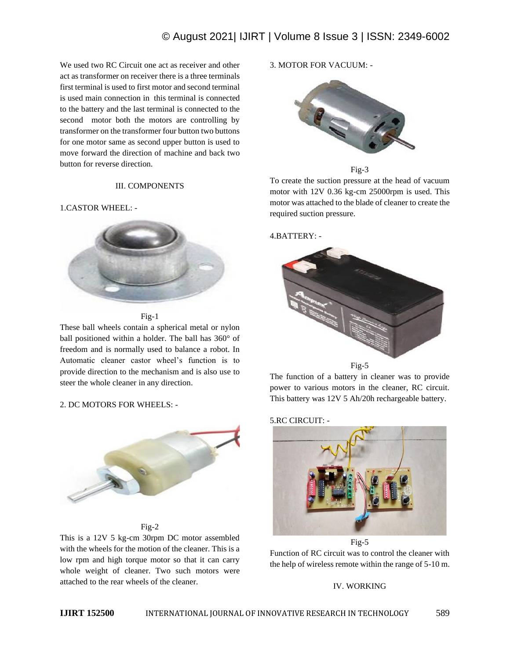# © August 2021| IJIRT | Volume 8 Issue 3 | ISSN: 2349-6002

We used two RC Circuit one act as receiver and other act as transformer on receiver there is a three terminals first terminal is used to first motor and second terminal is used main connection in this terminal is connected to the battery and the last terminal is connected to the second motor both the motors are controlling by transformer on the transformer four button two buttons for one motor same as second upper button is used to move forward the direction of machine and back two button for reverse direction.

# III. COMPONENTS

#### 1.CASTOR WHEEL: -



Fig-1

These ball wheels contain a spherical metal or nylon ball positioned within a holder. The ball has 360° of freedom and is normally used to balance a robot. In Automatic cleaner castor wheel's function is to provide direction to the mechanism and is also use to steer the whole cleaner in any direction.

#### 2. DC MOTORS FOR WHEELS: -



Fig-2

This is a 12V 5 kg-cm 30rpm DC motor assembled with the wheels for the motion of the cleaner. This is a low rpm and high torque motor so that it can carry whole weight of cleaner. Two such motors were attached to the rear wheels of the cleaner.

3. MOTOR FOR VACUUM: -





To create the suction pressure at the head of vacuum motor with 12V 0.36 kg-cm 25000rpm is used. This motor was attached to the blade of cleaner to create the required suction pressure.

# 4.BATTERY: -



The function of a battery in cleaner was to provide power to various motors in the cleaner, RC circuit. This battery was 12V 5 Ah/20h rechargeable battery.

#### 5.RC CIRCUIT: -



Function of RC circuit was to control the cleaner with the help of wireless remote within the range of 5-10 m.

## IV. WORKING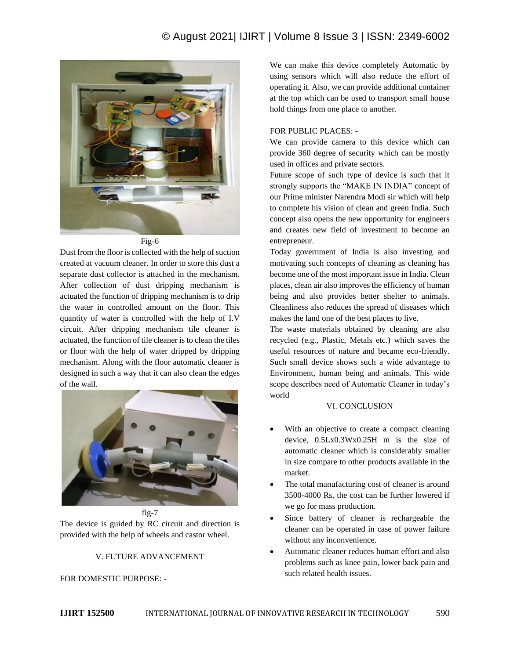# © August 2021| IJIRT | Volume 8 Issue 3 | ISSN: 2349-6002



Fig-6

Dust from the floor is collected with the help of suction created at vacuum cleaner. In order to store this dust a separate dust collector is attached in the mechanism. After collection of dust dripping mechanism is actuated the function of dripping mechanism is to drip the water in controlled amount on the floor. This quantity of water is controlled with the help of I.V circuit. After dripping mechanism tile cleaner is actuated, the function of tile cleaner is to clean the tiles or floor with the help of water dripped by dripping mechanism. Along with the floor automatic cleaner is designed in such a way that it can also clean the edges of the wall.



fig-7 The device is guided by RC circuit and direction is provided with the help of wheels and castor wheel.

## V. FUTURE ADVANCEMENT

# FOR DOMESTIC PURPOSE: -

We can make this device completely Automatic by using sensors which will also reduce the effort of operating it. Also, we can provide additional container at the top which can be used to transport small house hold things from one place to another.

# FOR PUBLIC PLACES: -

We can provide camera to this device which can provide 360 degree of security which can be mostly used in offices and private sectors.

Future scope of such type of device is such that it strongly supports the "MAKE IN INDIA՚՚ concept of our Prime minister Narendra Modi sir which will help to complete his vision of clean and green India. Such concept also opens the new opportunity for engineers and creates new field of investment to become an entrepreneur.

Today government of India is also investing and motivating such concepts of cleaning as cleaning has become one of the most important issue in India. Clean places, clean air also improves the efficiency of human being and also provides better shelter to animals. Cleanliness also reduces the spread of diseases which makes the land one of the best places to live.

The waste materials obtained by cleaning are also recycled (e.g., Plastic, Metals etc.) which saves the useful resources of nature and became eco-friendly. Such small device shows such a wide advantage to Environment, human being and animals. This wide scope describes need of Automatic Cleaner in today's world

# VI. CONCLUSION

- With an objective to create a compact cleaning device, 0.5Lx0.3Wx0.25H m is the size of automatic cleaner which is considerably smaller in size compare to other products available in the market.
- The total manufacturing cost of cleaner is around 3500-4000 Rs, the cost can be further lowered if we go for mass production.
- Since battery of cleaner is rechargeable the cleaner can be operated in case of power failure without any inconvenience.
- Automatic cleaner reduces human effort and also problems such as knee pain, lower back pain and such related health issues.